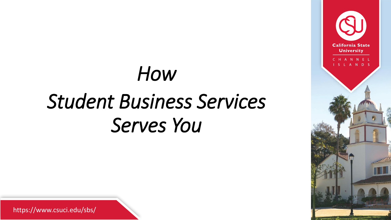# *How Student Business Services Serves You*



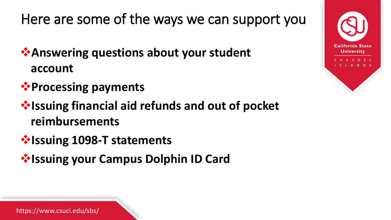Here are some of the ways we can support you

- ❖**Answering questions about your student account**
- ❖**Processing payments**
- ❖**Issuing financial aid refunds and out of pocket reimbursements**
- ❖**Issuing 1098-T statements**
- ❖**Issuing your Campus Dolphin ID Card**

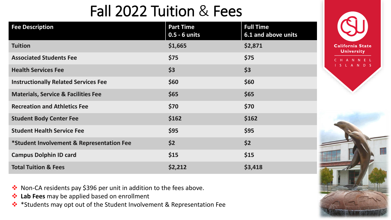### Fall 2022 Tuition & Fees

| <b>Fee Description</b>                         | <b>Part Time</b><br>0.5 - 6 units | <b>Full Time</b><br>6.1 and above units |
|------------------------------------------------|-----------------------------------|-----------------------------------------|
| <b>Tuition</b>                                 | \$1,665                           | \$2,871                                 |
| <b>Associated Students Fee</b>                 | \$75                              | \$75                                    |
| <b>Health Services Fee</b>                     | \$3                               | \$3                                     |
| <b>Instructionally Related Services Fee</b>    | \$60                              | \$60                                    |
| <b>Materials, Service &amp; Facilities Fee</b> | \$65                              | \$65                                    |
| <b>Recreation and Athletics Fee</b>            | \$70                              | \$70                                    |
| <b>Student Body Center Fee</b>                 | \$162                             | \$162                                   |
| <b>Student Health Service Fee</b>              | \$95                              | \$95                                    |
| *Student Involvement & Representation Fee      | \$2                               | \$2                                     |
| <b>Campus Dolphin ID card</b>                  | \$15                              | \$15                                    |
| <b>Total Tuition &amp; Fees</b>                | \$2,212                           | \$3,418                                 |

- ❖ Non-CA residents pay \$396 per unit in addition to the fees above.
- ❖ **Lab Fees** may be applied based on enrollment
- https://www.csuci.edu/sbs/ ❖ \*Students may opt out of the Student Involvement & Representation Fee



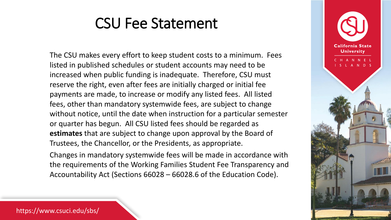### CSU Fee Statement

The CSU makes every effort to keep student costs to a minimum. Fees listed in published schedules or student accounts may need to be increased when public funding is inadequate. Therefore, CSU must reserve the right, even after fees are initially charged or initial fee payments are made, to increase or modify any listed fees. All listed fees, other than mandatory systemwide fees, are subject to change without notice, until the date when instruction for a particular semester or quarter has begun. All CSU listed fees should be regarded as **estimates** that are subject to change upon approval by the Board of Trustees, the Chancellor, or the Presidents, as appropriate.

Changes in mandatory systemwide fees will be made in accordance with the requirements of the Working Families Student Fee Transparency and Accountability Act (Sections 66028 – 66028.6 of the Education Code).

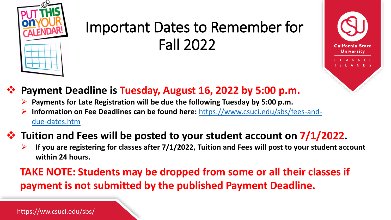

### Important Dates to Remember for Fall 2022



### ❖ **Payment Deadline is Tuesday, August 16, 2022 by 5:00 p.m.**

- ➢ **Payments for Late Registration will be due the following Tuesday by 5:00 p.m.**
- ➢ **[Information on Fee Deadlines can be found here:](https://www.csuci.edu/sbs/fees-and-due-dates.htm)** https://www.csuci.edu/sbs/fees-anddue-dates.htm

### ❖ **Tuition and Fees will be posted to your student account on 7/1/2022.**

➢ **If you are registering for classes after 7/1/2022, Tuition and Fees will post to your student account within 24 hours.**

### **TAKE NOTE: Students may be dropped from some or all their classes if payment is not submitted by the published Payment Deadline.**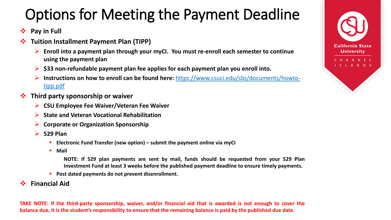## Options for Meeting the Payment Deadline

#### ❖ **Pay in Full**

- ❖ **Tuition Installment Payment Plan (TIPP)**
	- ➢ **Enroll into a payment plan through your myCI. You must re-enroll each semester to continue using the payment plan**
	- ➢ **\$33 non-refundable payment plan fee applies for each payment plan you enroll into.**
	- ➢ **[Instructions on how to enroll can be found here:](https://www.csuci.edu/sbs/documents/howto-tipp.pdf)** https://www.csuci.edu/sbs/documents/howtotipp.pdf
- ❖ **Third party sponsorship or waiver** 
	- ➢ **CSU Employee Fee Waiver/Veteran Fee Waiver**
	- ➢ **State and Veteran Vocational Rehabilitation**
	- ➢ **Corporate or Organization Sponsorship**
	- ➢ **529 Plan** 
		- **Electronic Fund Transfer (new option)** submit the payment online via myCl
		- **Mail**

**NOTE: If 529 plan payments are sent by mail, funds should be requested from your 529 Plan Investment Fund at least 3 weeks before the published payment deadline to ensure timely payments.**

- **Post dated payments do not prevent disenrollment.**
- ❖ **Financial Aid**

balance due, it is the student's responsibility to ensure that the remaining balance is paid by the published due date. TAKE NOTE: If the third-party sponsorship, waiver, and/or financial aid that is awarded is not enough to cover the

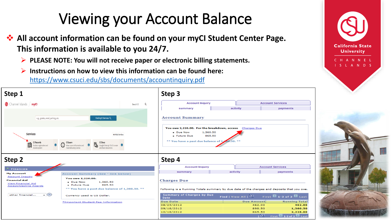### Viewing your Account Balance

- ❖ **All account information can be found on your myCI Student Center Page. This information is available to you 24/7.**
	- ➢ **PLEASE NOTE: You will not receive paper or electronic billing statements.**
	- ➢ **Instructions on how to view this information can be found here:**  <https://www.csuci.edu/sbs/documents/accountinquiry.pdf>

| Step 1                                                                                                      |                                                                                                                                                                                                                                                       |                       | Step 3                                                                                                                                                                  |                     |                                                   |
|-------------------------------------------------------------------------------------------------------------|-------------------------------------------------------------------------------------------------------------------------------------------------------------------------------------------------------------------------------------------------------|-----------------------|-------------------------------------------------------------------------------------------------------------------------------------------------------------------------|---------------------|---------------------------------------------------|
| <b>S</b> Channel Islands / mycl                                                                             |                                                                                                                                                                                                                                                       | Search CI<br>$\Omega$ | <b>Account Inquiry</b>                                                                                                                                                  |                     | <b>Account Services</b>                           |
|                                                                                                             |                                                                                                                                                                                                                                                       |                       | summary                                                                                                                                                                 | activity            | payments                                          |
| e.g., grades, email, parking, etc.                                                                          | Find myCl Services Q                                                                                                                                                                                                                                  |                       | <b>Account Summary</b>                                                                                                                                                  |                     |                                                   |
| <b>Services</b><br><b>CI Records</b><br>剾<br>$\bullet$<br>Student registration and<br>records system        | <b>O</b> Hide Services<br>$\begin{array}{cc}\n\bullet \bullet & \bullet \\ \bullet & \bullet\n\end{array}$ View course information and<br>CI Docs<br>E。<br>$\bullet$<br>Google Drive @ CSUCI: create<br>materials using Canvas<br>and share documents |                       | You owe 2,226.00. For the breakdown, access Charges Due<br>1,360.50<br><b>B</b> Due Now<br>865.50<br><b>E</b> Future Due<br>** You have a past due balance of 1,760.50. |                     |                                                   |
| Step 2                                                                                                      |                                                                                                                                                                                                                                                       |                       | Step 4                                                                                                                                                                  |                     |                                                   |
| $\overline{\phantom{a}}$ Finances                                                                           |                                                                                                                                                                                                                                                       |                       | <b>Account Inquiry</b>                                                                                                                                                  |                     | <b>Account Services</b>                           |
| <b>My Account</b>                                                                                           | Account Summary (See * link below)                                                                                                                                                                                                                    |                       | summary                                                                                                                                                                 | activity            | payments                                          |
| <b>Account Inquiry</b><br><b>Financial Aid</b><br><b>View Financial Aid</b><br><b>Accept/Decline Awards</b> | You owe 2,226.00.<br>- Due Now<br>1,360.50<br>865.50<br>- Future Due<br>** You have a past due balance of 1,360.50. **                                                                                                                                |                       | <b>Charges Due</b>                                                                                                                                                      |                     |                                                   |
| $ (35)$<br>other financial                                                                                  | Currency used is US Dollar.                                                                                                                                                                                                                           |                       | Following is a Running Totals summary by due date of the charges and deposits that you owe.<br><b>Summary of Charges by Due</b><br>Date                                 | Find   View All   图 | First $\blacksquare$ 1-3 of 3 $\blacksquare$ Last |
|                                                                                                             |                                                                                                                                                                                                                                                       |                       | Due Date                                                                                                                                                                | <b>Due Amount</b>   |                                                   |
|                                                                                                             | *Important Student Fee Information                                                                                                                                                                                                                    |                       |                                                                                                                                                                         |                     | <b>Running Total</b>                              |
|                                                                                                             |                                                                                                                                                                                                                                                       |                       | 08/25/2012                                                                                                                                                              | 462.00              | 462.00                                            |
|                                                                                                             |                                                                                                                                                                                                                                                       |                       | 09/18/2012<br>10/18/2012                                                                                                                                                | 898.50<br>865.50    | 1,360.50<br>2,226.00                              |

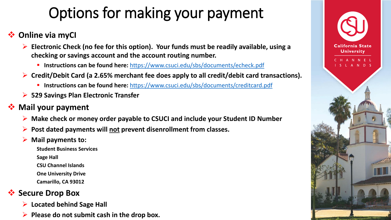## Options for making your payment

#### ❖ **Online via myCI**

- ➢ **Electronic Check (no fee for this option). Your funds must be readily available, using a checking or savings account and the account routing number.**
	- **Instructions can be found here:** <https://www.csuci.edu/sbs/documents/echeck.pdf>
- ➢ **Credit/Debit Card (a 2.65% merchant fee does apply to all credit/debit card transactions).**
	- **<u><b>E** Instructions can be found here: <https://www.csuci.edu/sbs/documents/creditcard.pdf></u>
- ➢ **529 Savings Plan Electronic Transfer**
- ❖ **Mail your payment**
	- ➢ **Make check or money order payable to CSUCI and include your Student ID Number**
	- ➢ **Post dated payments will not prevent disenrollment from classes.**
	- ➢ **Mail payments to:**
		- **Student Business Services**
		- **Sage Hall**
		- **CSU Channel Islands**
		- **One University Drive**
		- **Camarillo, CA 93012**

#### ❖ **Secure Drop Box**

- ➢ **Located behind Sage Hall**
- $\triangleright$  Please do not submit a ➢ **Please do not submit cash in the drop box.**

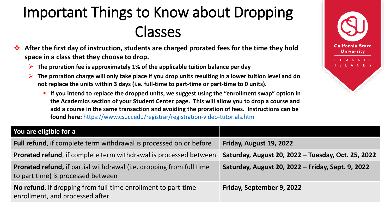## Important Things to Know about Dropping Classes

- ❖ **After the first day of instruction, students are charged prorated fees for the time they hold space in a class that they choose to drop.**
	- ➢ **The proration fee is approximately 1% of the applicable tuition balance per day**
	- ➢ **The proration charge will only take place if you drop units resulting in a lower tuition level and do not replace the units within 3 days (i.e. full-time to part-time or part-time to 0 units).**
		- If you intend to replace the dropped units, we suggest using the "enrollment swap" option in **the Academics section of your Student Center page. This will allow you to drop a course and add a course in the same transaction and avoiding the proration of fees. Instructions can be found here:** <https://www.csuci.edu/registrar/registration-video-tutorials.htm>



| You are eligible for a                                                                                            |                                                    |
|-------------------------------------------------------------------------------------------------------------------|----------------------------------------------------|
| Full refund, if complete term withdrawal is processed on or before                                                | Friday, August 19, 2022                            |
| <b>Prorated refund, if complete term withdrawal is processed between</b>                                          | Saturday, August 20, 2022 - Tuesday, Oct. 25, 2022 |
| <b>Prorated refund, if partial withdrawal (i.e. dropping from full time</b><br>to part time) is processed between | Saturday, August 20, 2022 - Friday, Sept. 9, 2022  |
| No refund, if dropping from full-time enrollment to part-time<br>enrollment, and processed after                  | Friday, September 9, 2022                          |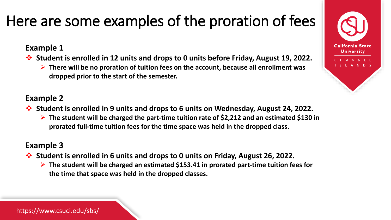### Here are some examples of the proration of fees

#### **Example 1**

- ❖ **Student is enrolled in 12 units and drops to 0 units before Friday, August 19, 2022.**
	- ➢ **There will be no proration of tuition fees on the account, because all enrollment was dropped prior to the start of the semester.**

#### **Example 2**

- ❖ **Student is enrolled in 9 units and drops to 6 units on Wednesday, August 24, 2022.**
	- ➢ **The student will be charged the part-time tuition rate of \$2,212 and an estimated \$130 in prorated full-time tuition fees for the time space was held in the dropped class.**

#### **Example 3**

- ❖ **Student is enrolled in 6 units and drops to 0 units on Friday, August 26, 2022.**
	- ➢ **The student will be charged an estimated \$153.41 in prorated part-time tuition fees for the time that space was held in the dropped classes.**

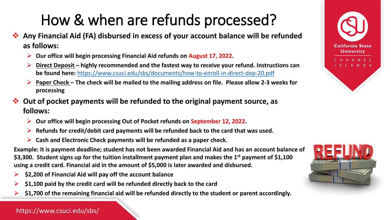## How & when are refunds processed?

- ❖ **Any Financial Aid (FA) disbursed in excess of your account balance will be refunded as follows:**
	- ➢ **Our office will begin processing Financial Aid refunds on August 17, 2022.**
	- ➢ **Direct Deposit – highly recommended and the fastest way to receive your refund. Instructions can be found here:** <https://www.csuci.edu/sbs/documents/how-to-enroll-in-direct-dep-20.pdf>
	- ➢ **Paper Check – The check will be mailed to the mailing address on file. Please allow 2-3 weeks for processing**
- ❖ **Out of pocket payments will be refunded to the original payment source, as follows:**
	- ➢ **Our office will begin processing Out of Pocket refunds on September 12, 2022.**
	- ➢ **Refunds for credit/debit card payments will be refunded back to the card that was used.**
	- ➢ **Cash and Electronic Check payments will be refunded as a paper check.**

**Example: It is payment deadline; student has not been awarded Financial Aid and has an account balance of \$3,300. Student signs up for the tuition installment payment plan and makes the 1st payment of \$1,100 using a credit card. Financial aid in the amount of \$5,000 is later awarded and disbursed.**

- ➢ **\$2,200 of Financial Aid will pay off the account balance**
- ➢ **\$1,100 paid by the credit card will be refunded directly back to the card**
- ➢ **\$1,700 of the remaining financial aid will be refunded directly to the student or parent accordingly.**



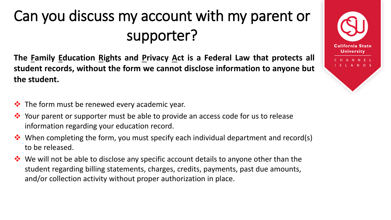## Can you discuss my account with my parent or supporter?

**The Family Education Rights and Privacy Act is a Federal Law that protects all student records, without the form we cannot disclose information to anyone but the student.**

- ❖ The form must be renewed every academic year.
- ❖ Your parent or supporter must be able to provide an access code for us to release information regarding your education record.
- ❖ When completing the form, you must specify each individual department and record(s) to be released.
- ❖ We will not be able to disclose any specific account details to anyone other than the student regarding billing statements, charges, credits, payments, past due amounts, and/or collection activity without proper authorization in place.

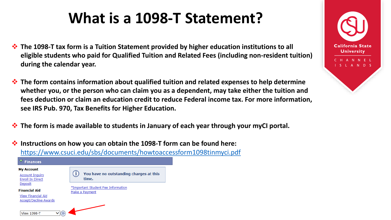### **What is a 1098-T Statement?**

- ❖ **The 1098-T tax form is a Tuition Statement provided by higher education institutions to all eligible students who paid for Qualified Tuition and Related Fees (including non-resident tuition) during the calendar year.**
- ❖ **The form contains information about qualified tuition and related expenses to help determine whether you, or the person who can claim you as a dependent, may take either the tuition and fees deduction or claim an education credit to reduce Federal income tax. For more information, see IRS Pub. 970, Tax Benefits for Higher Education.**
- ❖ **The form is made available to students in January of each year through your myCI portal.**
- ❖ **Instructions on how you can obtain the 1098-T form can be found here:** <https://www.csuci.edu/sbs/documents/howtoaccessform1098tinmyci.pdf>



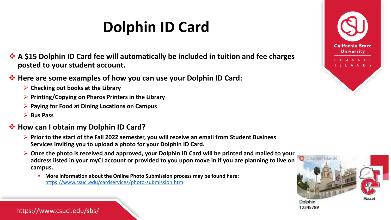### **Dolphin ID Card**

- ❖ **A \$15 Dolphin ID Card fee will automatically be included in tuition and fee charges posted to your student account.**
- ❖ **Here are some examples of how you can use your Dolphin ID Card:**
	- ➢ **Checking out books at the Library**
	- ➢ **Printing/Copying on Pharos Printers in the Library**
	- ➢ **Paying for Food at Dining Locations on Campus**
	- ➢ **Bus Pass**

#### ❖ **How can I obtain my Dolphin ID Card?**

- ➢ **Prior to the start of the Fall 2022 semester, you will receive an email from Student Business Services inviting you to upload a photo for your Dolphin ID Card.**
- ➢ **Once the photo is received and approved, your Dolphin ID Card will be printed and mailed to your address listed in your myCI account or provided to you upon move in if you are planning to live on campus.**
	- **More information about the Online Photo Submission process may be found here:** <https://www.csuci.edu/cardservices/photo-submission.htm>





12345789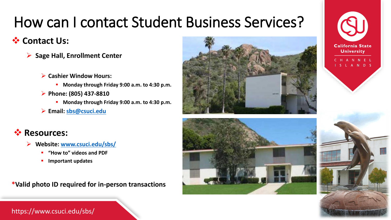### How can I contact Student Business Services?

### ❖ **Contact Us:**

- ➢ **Sage Hall, Enrollment Center**
	- ➢ **Cashier Window Hours:**
		- **Monday through Friday 9:00 a.m. to 4:30 p.m.**
	- ➢ **Phone: (805) 437-8810**
		- **Monday through Friday 9:00 a.m. to 4:30 p.m.**
	- ➢ **Email: [sbs@csuci.edu](mailto:sbs@csuci.edu)**

#### ❖ **Resources:**

- ➢ **Website: [www.csuci.edu/sbs/](http://www.csuci.edu/sbs/)**
	- **"How to" videos and PDF**
	- **Important updates**

**\*Valid photo ID required for in-person transactions**









#### https://www.csuci.edu/sbs/ https://www.csuci.edu/sbs/